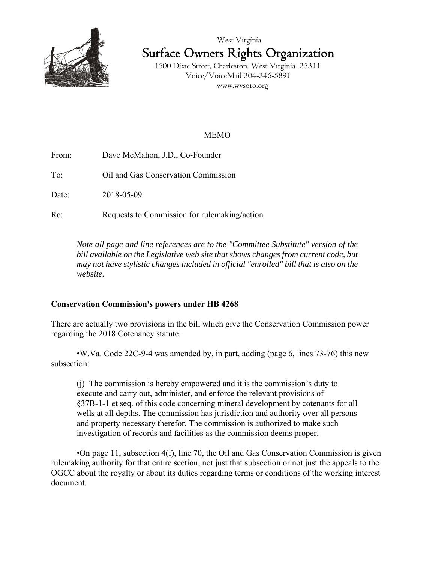



 1500 Dixie Street, Charleston, West Virginia 25311 Voice/VoiceMail 304-346-5891 www.wvsoro.org

## MEMO

From: Dave McMahon, J.D., Co-Founder

To: Oil and Gas Conservation Commission

Date: 2018-05-09

Re: Requests to Commission for rulemaking/action

*Note all page and line references are to the "Committee Substitute" version of the bill available on the Legislative web site that shows changes from current code, but may not have stylistic changes included in official "enrolled" bill that is also on the website.*

## **Conservation Commission's powers under HB 4268**

There are actually two provisions in the bill which give the Conservation Commission power regarding the 2018 Cotenancy statute.

•W.Va. Code 22C-9-4 was amended by, in part, adding (page 6, lines 73-76) this new subsection:

(j) The commission is hereby empowered and it is the commission's duty to execute and carry out, administer, and enforce the relevant provisions of §37B-1-1 et seq. of this code concerning mineral development by cotenants for all wells at all depths. The commission has jurisdiction and authority over all persons and property necessary therefor. The commission is authorized to make such investigation of records and facilities as the commission deems proper.

•On page 11, subsection 4(f), line 70, the Oil and Gas Conservation Commission is given rulemaking authority for that entire section, not just that subsection or not just the appeals to the OGCC about the royalty or about its duties regarding terms or conditions of the working interest document.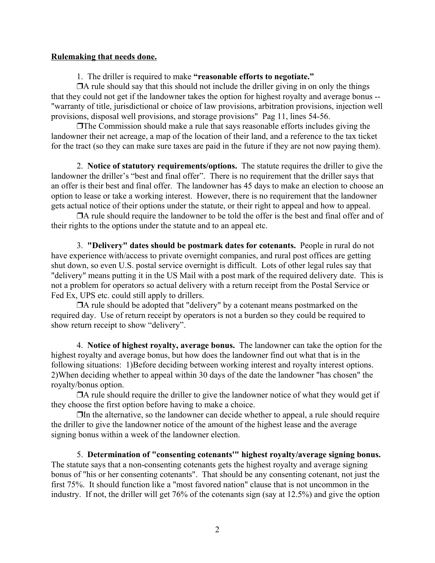## **Rulemaking that needs done.**

1. The driller is required to make **"reasonable efforts to negotiate."**

 $\Box$  A rule should say that this should not include the driller giving in on only the things that they could not get if the landowner takes the option for highest royalty and average bonus -- "warranty of title, jurisdictional or choice of law provisions, arbitration provisions, injection well provisions, disposal well provisions, and storage provisions" Pag 11, lines 54-56.

 $\Box$  The Commission should make a rule that says reasonable efforts includes giving the landowner their net acreage, a map of the location of their land, and a reference to the tax ticket for the tract (so they can make sure taxes are paid in the future if they are not now paying them).

2. **Notice of statutory requirements/options.** The statute requires the driller to give the landowner the driller's "best and final offer". There is no requirement that the driller says that an offer is their best and final offer. The landowner has 45 days to make an election to choose an option to lease or take a working interest. However, there is no requirement that the landowner gets actual notice of their options under the statute, or their right to appeal and how to appeal.

 $\Box$  A rule should require the landowner to be told the offer is the best and final offer and of their rights to the options under the statute and to an appeal etc.

3. **"Delivery" dates should be postmark dates for cotenants.** People in rural do not have experience with/access to private overnight companies, and rural post offices are getting shut down, so even U.S. postal service overnight is difficult. Lots of other legal rules say that "delivery" means putting it in the US Mail with a post mark of the required delivery date. This is not a problem for operators so actual delivery with a return receipt from the Postal Service or Fed Ex, UPS etc. could still apply to drillers.

 $\Box$ A rule should be adopted that "delivery" by a cotenant means postmarked on the required day. Use of return receipt by operators is not a burden so they could be required to show return receipt to show "delivery".

4. **Notice of highest royalty, average bonus.** The landowner can take the option for the highest royalty and average bonus, but how does the landowner find out what that is in the following situations: 1)Before deciding between working interest and royalty interest options. 2)When deciding whether to appeal within 30 days of the date the landowner "has chosen" the royalty/bonus option.

 $\Box$  A rule should require the driller to give the landowner notice of what they would get if they choose the first option before having to make a choice.

 $\Box$  In the alternative, so the landowner can decide whether to appeal, a rule should require the driller to give the landowner notice of the amount of the highest lease and the average signing bonus within a week of the landowner election.

5. **Determination of "consenting cotenants'" highest royalty/average signing bonus.** The statute says that a non-consenting cotenants gets the highest royalty and average signing bonus of "his or her consenting cotenants". That should be any consenting cotenant, not just the first 75%. It should function like a "most favored nation" clause that is not uncommon in the industry. If not, the driller will get 76% of the cotenants sign (say at 12.5%) and give the option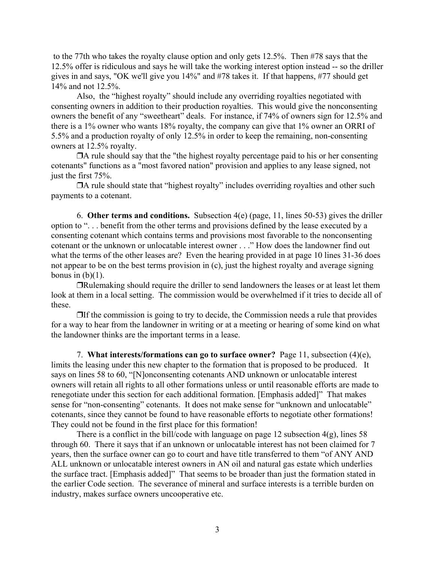to the 77th who takes the royalty clause option and only gets 12.5%. Then #78 says that the 12.5% offer is ridiculous and says he will take the working interest option instead -- so the driller gives in and says, "OK we'll give you 14%" and #78 takes it. If that happens, #77 should get 14% and not 12.5%.

Also, the "highest royalty" should include any overriding royalties negotiated with consenting owners in addition to their production royalties. This would give the nonconsenting owners the benefit of any "sweetheart" deals. For instance, if 74% of owners sign for 12.5% and there is a 1% owner who wants 18% royalty, the company can give that 1% owner an ORRI of 5.5% and a production royalty of only 12.5% in order to keep the remaining, non-consenting owners at 12.5% royalty.

 $\Box$  A rule should say that the "the highest royalty percentage paid to his or her consenting cotenants" functions as a "most favored nation" provision and applies to any lease signed, not just the first 75%.

 $\Box$  A rule should state that "highest royalty" includes overriding royalties and other such payments to a cotenant.

6. **Other terms and conditions.** Subsection 4(e) (page, 11, lines 50-53) gives the driller option to ". . . benefit from the other terms and provisions defined by the lease executed by a consenting cotenant which contains terms and provisions most favorable to the nonconsenting cotenant or the unknown or unlocatable interest owner . . ." How does the landowner find out what the terms of the other leases are? Even the hearing provided in at page 10 lines 31-36 does not appear to be on the best terms provision in (c), just the highest royalty and average signing bonus in  $(b)(1)$ .

"Rulemaking should require the driller to send landowners the leases or at least let them look at them in a local setting. The commission would be overwhelmed if it tries to decide all of these.

 $\Box$  If the commission is going to try to decide, the Commission needs a rule that provides for a way to hear from the landowner in writing or at a meeting or hearing of some kind on what the landowner thinks are the important terms in a lease.

7. **What interests/formations can go to surface owner?** Page 11, subsection (4)(e), limits the leasing under this new chapter to the formation that is proposed to be produced. It says on lines 58 to 60, "[N]onconsenting cotenants AND unknown or unlocatable interest owners will retain all rights to all other formations unless or until reasonable efforts are made to renegotiate under this section for each additional formation. [Emphasis added]" That makes sense for "non-consenting" cotenants. It does not make sense for "unknown and unlocatable" cotenants, since they cannot be found to have reasonable efforts to negotiate other formations! They could not be found in the first place for this formation!

There is a conflict in the bill/code with language on page 12 subsection  $4(g)$ , lines 58 through 60. There it says that if an unknown or unlocatable interest has not been claimed for 7 years, then the surface owner can go to court and have title transferred to them "of ANY AND ALL unknown or unlocatable interest owners in AN oil and natural gas estate which underlies the surface tract. [Emphasis added]" That seems to be broader than just the formation stated in the earlier Code section. The severance of mineral and surface interests is a terrible burden on industry, makes surface owners uncooperative etc.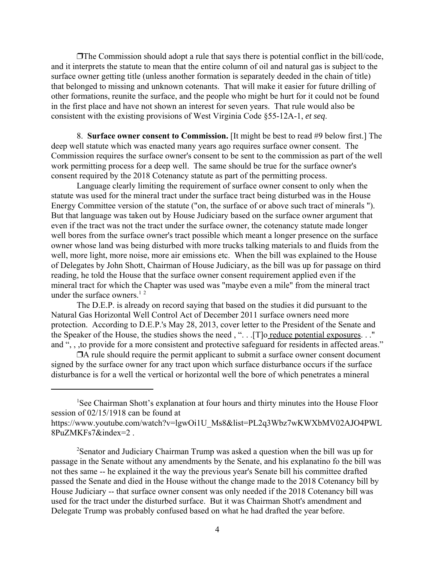$\Box$ The Commission should adopt a rule that says there is potential conflict in the bill/code, and it interprets the statute to mean that the entire column of oil and natural gas is subject to the surface owner getting title (unless another formation is separately deeded in the chain of title) that belonged to missing and unknown cotenants. That will make it easier for future drilling of other formations, reunite the surface, and the people who might be hurt for it could not be found in the first place and have not shown an interest for seven years. That rule would also be consistent with the existing provisions of West Virginia Code §55-12A-1, *et seq*.

8. **Surface owner consent to Commission.** [It might be best to read #9 below first.] The deep well statute which was enacted many years ago requires surface owner consent. The Commission requires the surface owner's consent to be sent to the commission as part of the well work permitting process for a deep well. The same should be true for the surface owner's consent required by the 2018 Cotenancy statute as part of the permitting process.

Language clearly limiting the requirement of surface owner consent to only when the statute was used for the mineral tract under the surface tract being disturbed was in the House Energy Committee version of the statute ("on, the surface of or above such tract of minerals "). But that language was taken out by House Judiciary based on the surface owner argument that even if the tract was not the tract under the surface owner, the cotenancy statute made longer well bores from the surface owner's tract possible which meant a longer presence on the surface owner whose land was being disturbed with more trucks talking materials to and fluids from the well, more light, more noise, more air emissions etc. When the bill was explained to the House of Delegates by John Shott, Chairman of House Judiciary, as the bill was up for passage on third reading, he told the House that the surface owner consent requirement applied even if the mineral tract for which the Chapter was used was "maybe even a mile" from the mineral tract under the surface owners.<sup>12</sup>

The D.E.P. is already on record saying that based on the studies it did pursuant to the Natural Gas Horizontal Well Control Act of December 2011 surface owners need more protection. According to D.E.P.'s May 28, 2013, cover letter to the President of the Senate and the Speaker of the House, the studies shows the need , ". . .[T]o reduce potential exposures. . ." and ", , ,to provide for a more consistent and protective safeguard for residents in affected areas."

 $\Box$  A rule should require the permit applicant to submit a surface owner consent document signed by the surface owner for any tract upon which surface disturbance occurs if the surface disturbance is for a well the vertical or horizontal well the bore of which penetrates a mineral

<sup>&</sup>lt;sup>1</sup>See Chairman Shott's explanation at four hours and thirty minutes into the House Floor session of 02/15/1918 can be found at https://www.youtube.com/watch?v=lgwOi1U\_Ms8&list=PL2q3Wbz7wKWXbMV02AJO4PWL

<sup>8</sup>PuZMKFs7&index=2 .

<sup>&</sup>lt;sup>2</sup>Senator and Judiciary Chairman Trump was asked a question when the bill was up for passage in the Senate without any amendments by the Senate, and his explanatino fo the bill was not thes same -- he explained it the way the previous year's Senate bill his committee drafted passed the Senate and died in the House without the change made to the 2018 Cotenancy bill by House Judiciary -- that surface owner consent was only needed if the 2018 Cotenancy bill was used for the tract under the disturbed surface. But it was Chairman Shott's amendment and Delegate Trump was probably confused based on what he had drafted the year before.